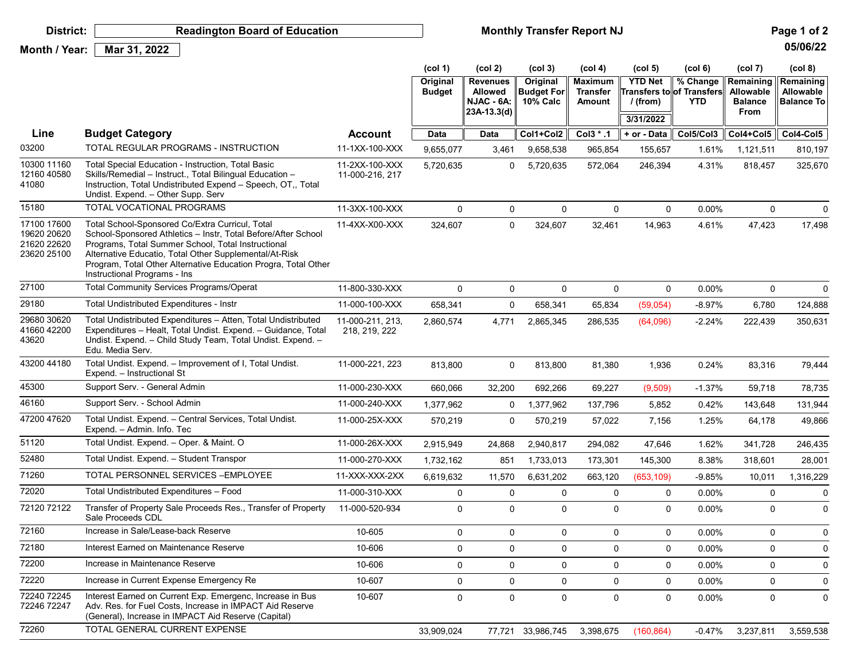| District:                                                | <b>Readington Board of Education</b>                                                                                                                                                                                                                                                                                               |                                   | <b>Monthly Transfer Report NJ</b><br>Page 1 of 2 |                                                                  |                                           |                                             |                                           |                                                             |                                                  |                                                    |
|----------------------------------------------------------|------------------------------------------------------------------------------------------------------------------------------------------------------------------------------------------------------------------------------------------------------------------------------------------------------------------------------------|-----------------------------------|--------------------------------------------------|------------------------------------------------------------------|-------------------------------------------|---------------------------------------------|-------------------------------------------|-------------------------------------------------------------|--------------------------------------------------|----------------------------------------------------|
| Month / Year:                                            | Mar 31, 2022                                                                                                                                                                                                                                                                                                                       |                                   |                                                  |                                                                  |                                           |                                             |                                           |                                                             |                                                  | 05/06/22                                           |
|                                                          |                                                                                                                                                                                                                                                                                                                                    |                                   | $\left(\text{col } 1\right)$                     | (col 2)                                                          | (col 3)                                   | (col 4)                                     | (col <sub>5</sub> )                       | (col 6)                                                     | (col 7)                                          | (col 8)                                            |
|                                                          |                                                                                                                                                                                                                                                                                                                                    |                                   | Original<br><b>Budget</b>                        | <b>Revenues</b><br><b>Allowed</b><br>NJAC - 6A:<br>$23A-13.3(d)$ | Original<br><b>Budget For</b><br>10% Calc | <b>Maximum</b><br><b>Transfer</b><br>Amount | <b>YTD Net</b><br>$/$ (from)<br>3/31/2022 | % Change<br><b>Γransfers to∥of Transfers∥</b><br><b>YTD</b> | Remaining<br>Allowable<br><b>Balance</b><br>From | Remaining<br><b>Allowable</b><br><b>Balance To</b> |
|                                                          |                                                                                                                                                                                                                                                                                                                                    |                                   |                                                  |                                                                  |                                           |                                             |                                           |                                                             |                                                  |                                                    |
| Line                                                     | <b>Budget Category</b>                                                                                                                                                                                                                                                                                                             | <b>Account</b>                    | Data                                             | Data                                                             | Col1+Col2                                 | $Col3$ $*$ .1                               | + or - Data                               | Col5/Col3                                                   | Col4+Col5                                        | Col4-Col5                                          |
| 03200                                                    | TOTAL REGULAR PROGRAMS - INSTRUCTION                                                                                                                                                                                                                                                                                               | 11-1XX-100-XXX                    | 9,655,077                                        | 3,461                                                            | 9,658,538                                 | 965,854                                     | 155,657                                   | 1.61%                                                       | 1,121,511                                        | 810,197                                            |
| 10300 11160<br>12160 40580<br>41080                      | Total Special Education - Instruction, Total Basic<br>Skills/Remedial - Instruct., Total Bilingual Education -<br>Instruction, Total Undistributed Expend - Speech, OT,, Total<br>Undist. Expend. - Other Supp. Serv                                                                                                               | 11-2XX-100-XXX<br>11-000-216, 217 | 5,720,635                                        | 0                                                                | 5,720,635                                 | 572,064                                     | 246,394                                   | 4.31%                                                       | 818,457                                          | 325,670                                            |
| 15180                                                    | TOTAL VOCATIONAL PROGRAMS                                                                                                                                                                                                                                                                                                          | 11-3XX-100-XXX                    | $\mathbf 0$                                      | 0                                                                | 0                                         | $\mathbf 0$                                 | 0                                         | 0.00%                                                       | 0                                                | 0                                                  |
| 17100 17600<br>19620 20620<br>21620 22620<br>23620 25100 | Total School-Sponsored Co/Extra Curricul, Total<br>School-Sponsored Athletics - Instr, Total Before/After School<br>Programs, Total Summer School, Total Instructional<br>Alternative Educatio, Total Other Supplemental/At-Risk<br>Program, Total Other Alternative Education Progra, Total Other<br>Instructional Programs - Ins | 11-4XX-X00-XXX                    | 324,607                                          | $\mathbf 0$                                                      | 324,607                                   | 32,461                                      | 14,963                                    | 4.61%                                                       | 47,423                                           | 17,498                                             |
| 27100                                                    | <b>Total Community Services Programs/Operat</b>                                                                                                                                                                                                                                                                                    | 11-800-330-XXX                    | $\mathbf 0$                                      | 0                                                                | 0                                         | $\mathbf 0$                                 | 0                                         | 0.00%                                                       | $\mathbf 0$                                      | 0                                                  |
| 29180                                                    | Total Undistributed Expenditures - Instr                                                                                                                                                                                                                                                                                           | 11-000-100-XXX                    | 658,341                                          | 0                                                                | 658,341                                   | 65,834                                      | (59,054)                                  | $-8.97%$                                                    | 6,780                                            | 124,888                                            |
| 29680 30620<br>41660 42200<br>43620                      | Total Undistributed Expenditures - Atten, Total Undistributed<br>Expenditures - Healt, Total Undist. Expend. - Guidance, Total<br>Undist. Expend. - Child Study Team, Total Undist. Expend. -<br>Edu. Media Serv.                                                                                                                  | 11-000-211, 213,<br>218, 219, 222 | 2,860,574                                        | 4,771                                                            | 2,865,345                                 | 286,535                                     | (64,096)                                  | $-2.24%$                                                    | 222,439                                          | 350,631                                            |
| 43200 44180                                              | Total Undist. Expend. - Improvement of I, Total Undist.<br>Expend. - Instructional St                                                                                                                                                                                                                                              | 11-000-221, 223                   | 813,800                                          | 0                                                                | 813,800                                   | 81,380                                      | 1,936                                     | 0.24%                                                       | 83,316                                           | 79,444                                             |
| 45300                                                    | Support Serv. - General Admin                                                                                                                                                                                                                                                                                                      | 11-000-230-XXX                    | 660,066                                          | 32,200                                                           | 692,266                                   | 69,227                                      | (9,509)                                   | $-1.37%$                                                    | 59,718                                           | 78,735                                             |
| 46160                                                    | Support Serv. - School Admin                                                                                                                                                                                                                                                                                                       | 11-000-240-XXX                    | 1,377,962                                        | 0                                                                | 1,377,962                                 | 137,796                                     | 5,852                                     | 0.42%                                                       | 143,648                                          | 131,944                                            |
| 47200 47620                                              | Total Undist. Expend. - Central Services, Total Undist.<br>Expend. - Admin. Info. Tec                                                                                                                                                                                                                                              | 11-000-25X-XXX                    | 570,219                                          | $\mathbf 0$                                                      | 570,219                                   | 57,022                                      | 7,156                                     | 1.25%                                                       | 64,178                                           | 49,866                                             |
| 51120                                                    | Total Undist. Expend. - Oper. & Maint. O                                                                                                                                                                                                                                                                                           | 11-000-26X-XXX                    | 2,915,949                                        | 24,868                                                           | 2,940,817                                 | 294,082                                     | 47,646                                    | 1.62%                                                       | 341,728                                          | 246,435                                            |
| 52480                                                    | Total Undist. Expend. - Student Transpor                                                                                                                                                                                                                                                                                           | 11-000-270-XXX                    | 1,732,162                                        | 851                                                              | 1,733,013                                 | 173,301                                     | 145,300                                   | 8.38%                                                       | 318,601                                          | 28,001                                             |
| 71260                                                    | TOTAL PERSONNEL SERVICES - EMPLOYEE                                                                                                                                                                                                                                                                                                | 11-XXX-XXX-2XX                    | 6,619,632                                        | 11,570                                                           | 6,631,202                                 | 663,120                                     | (653, 109)                                | $-9.85%$                                                    | 10,011                                           | 1,316,229                                          |
| 72020                                                    | Total Undistributed Expenditures - Food                                                                                                                                                                                                                                                                                            | 11-000-310-XXX                    | 0                                                | 0                                                                | 0                                         | 0                                           | 0                                         | 0.00%                                                       | 0                                                | 0                                                  |
| 72120 72122                                              | Transfer of Property Sale Proceeds Res., Transfer of Property<br>Sale Proceeds CDL                                                                                                                                                                                                                                                 | 11-000-520-934                    | 0                                                | 0                                                                | 0                                         | 0                                           | $\Omega$                                  | 0.00%                                                       | 0                                                | 0                                                  |
| 72160                                                    | Increase in Sale/Lease-back Reserve                                                                                                                                                                                                                                                                                                | 10-605                            | $\mathbf 0$                                      | $\mathbf 0$                                                      | 0                                         | $\mathbf 0$                                 | 0                                         | 0.00%                                                       | 0                                                | 0                                                  |
| 72180                                                    | Interest Earned on Maintenance Reserve                                                                                                                                                                                                                                                                                             | 10-606                            | 0                                                | $\mathbf 0$                                                      | 0                                         | 0                                           | 0                                         | 0.00%                                                       | 0                                                | 0                                                  |
| 72200                                                    | Increase in Maintenance Reserve                                                                                                                                                                                                                                                                                                    | 10-606                            | 0                                                | $\mathbf 0$                                                      | 0                                         | $\mathbf 0$                                 | $\mathbf 0$                               | 0.00%                                                       | $\mathsf{O}\xspace$                              | $\mathbf 0$                                        |
| 72220                                                    | Increase in Current Expense Emergency Re                                                                                                                                                                                                                                                                                           | 10-607                            | $\pmb{0}$                                        | $\mathbf 0$                                                      | 0                                         | $\mathbf 0$                                 | 0                                         | 0.00%                                                       | $\mathbf 0$                                      | 0                                                  |
| 72240 72245<br>72246 72247                               | Interest Earned on Current Exp. Emergenc, Increase in Bus<br>Adv. Res. for Fuel Costs. Increase in IMPACT Aid Reserve<br>(General), Increase in IMPACT Aid Reserve (Capital)                                                                                                                                                       | 10-607                            | $\pmb{0}$                                        | $\mathbf 0$                                                      | 0                                         | $\mathbf 0$                                 | 0                                         | 0.00%                                                       | $\mathsf{O}$                                     | $\mathbf 0$                                        |
| 72260                                                    | TOTAL GENERAL CURRENT EXPENSE                                                                                                                                                                                                                                                                                                      |                                   | 33,909,024                                       |                                                                  | 77,721 33,986,745                         | 3,398,675                                   | (160, 864)                                | $-0.47%$                                                    | 3,237,811                                        | 3,559,538                                          |